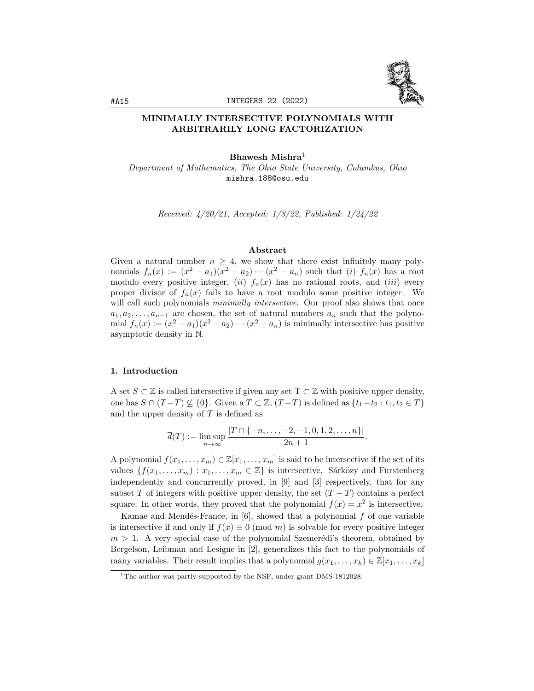

# MINIMALLY INTERSECTIVE POLYNOMIALS WITH ARBITRARILY LONG FACTORIZATION

## Bhawesh Mishra<sup>1</sup>

Department of Mathematics, The Ohio State University, Columbus, Ohio mishra.188@osu.edu

Received: 4/20/21, Accepted: 1/3/22, Published: 1/24/22

# Abstract

Given a natural number  $n \geq 4$ , we show that there exist infinitely many polynomials  $f_n(x) := (x^2 - a_1)(x^2 - a_2) \cdots (x^2 - a_n)$  such that (i)  $f_n(x)$  has a root modulo every positive integer, (ii)  $f_n(x)$  has no rational roots, and (iii) every proper divisor of  $f_n(x)$  fails to have a root modulo some positive integer. We will call such polynomials *minimally intersective*. Our proof also shows that once  $a_1, a_2, \ldots, a_{n-1}$  are chosen, the set of natural numbers  $a_n$  such that the polynomial  $f_n(x) := (x^2 - a_1)(x^2 - a_2) \cdots (x^2 - a_n)$  is minimally intersective has positive asymptotic density in N.

## 1. Introduction

A set  $S \subset \mathbb{Z}$  is called intersective if given any set  $T \subset \mathbb{Z}$  with positive upper density, one has  $S \cap (T-T) \nsubseteq \{0\}$ . Given a  $T \subset \mathbb{Z}$ ,  $(T-T)$  is defined as  $\{t_1-t_2 : t_1, t_2 \in T\}$ and the upper density of  $T$  is defined as

$$
\overline{d}(T) := \limsup_{n \to \infty} \frac{|T \cap \{-n, \dots, -2, -1, 0, 1, 2, \dots, n\}|}{2n + 1}.
$$

A polynomial  $f(x_1, \ldots, x_m) \in \mathbb{Z}[x_1, \ldots, x_m]$  is said to be intersective if the set of its values  $\{f(x_1, \ldots, x_m) : x_1, \ldots, x_m \in \mathbb{Z}\}\$ is intersective. Sárközy and Furstenberg independently and concurrently proved, in [9] and [3] respectively, that for any subset T of integers with positive upper density, the set  $(T - T)$  contains a perfect square. In other words, they proved that the polynomial  $f(x) = x^2$  is intersective.

Kamae and Mendés-France, in  $[6]$ , showed that a polynomial f of one variable is intersective if and only if  $f(x) \equiv 0 \pmod{m}$  is solvable for every positive integer  $m > 1$ . A very special case of the polynomial Szemerédi's theorem, obtained by Bergelson, Leibman and Lesigne in [2], generalizes this fact to the polynomials of many variables. Their result implies that a polynomial  $g(x_1, \ldots, x_k) \in \mathbb{Z}[x_1, \ldots, x_k]$ 

<sup>&</sup>lt;sup>1</sup>The author was partly supported by the NSF, under grant DMS-1812028.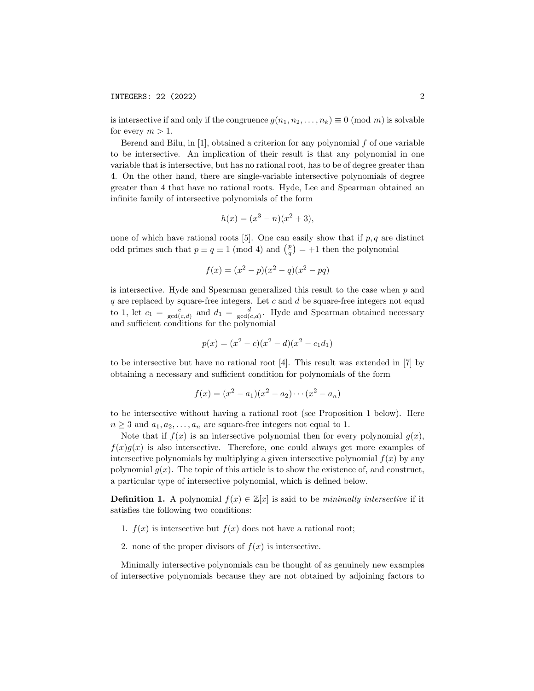is intersective if and only if the congruence  $g(n_1, n_2, \ldots, n_k) \equiv 0 \pmod{m}$  is solvable for every  $m > 1$ .

Berend and Bilu, in  $[1]$ , obtained a criterion for any polynomial  $f$  of one variable to be intersective. An implication of their result is that any polynomial in one variable that is intersective, but has no rational root, has to be of degree greater than 4. On the other hand, there are single-variable intersective polynomials of degree greater than 4 that have no rational roots. Hyde, Lee and Spearman obtained an infinite family of intersective polynomials of the form

$$
h(x) = (x^3 - n)(x^2 + 3),
$$

none of which have rational roots [5]. One can easily show that if  $p, q$  are distinct odd primes such that  $p \equiv q \equiv 1 \pmod{4}$  and  $\binom{p}{q} = +1$  then the polynomial

$$
f(x) = (x^2 - p)(x^2 - q)(x^2 - pq)
$$

is intersective. Hyde and Spearman generalized this result to the case when  $p$  and  $q$  are replaced by square-free integers. Let  $c$  and  $d$  be square-free integers not equal to 1, let  $c_1 = \frac{c}{\gcd(c,d)}$  and  $d_1 = \frac{d}{\gcd(c,d)}$ . Hyde and Spearman obtained necessary and sufficient conditions for the polynomial

$$
p(x) = (x^2 - c)(x^2 - d)(x^2 - c_1d_1)
$$

to be intersective but have no rational root [4]. This result was extended in [7] by obtaining a necessary and sufficient condition for polynomials of the form

$$
f(x) = (x^2 - a_1)(x^2 - a_2) \cdots (x^2 - a_n)
$$

to be intersective without having a rational root (see Proposition 1 below). Here  $n \geq 3$  and  $a_1, a_2, \ldots, a_n$  are square-free integers not equal to 1.

Note that if  $f(x)$  is an intersective polynomial then for every polynomial  $g(x)$ ,  $f(x)g(x)$  is also intersective. Therefore, one could always get more examples of intersective polynomials by multiplying a given intersective polynomial  $f(x)$  by any polynomial  $q(x)$ . The topic of this article is to show the existence of, and construct, a particular type of intersective polynomial, which is defined below.

**Definition 1.** A polynomial  $f(x) \in \mathbb{Z}[x]$  is said to be minimally intersective if it satisfies the following two conditions:

- 1.  $f(x)$  is intersective but  $f(x)$  does not have a rational root;
- 2. none of the proper divisors of  $f(x)$  is intersective.

Minimally intersective polynomials can be thought of as genuinely new examples of intersective polynomials because they are not obtained by adjoining factors to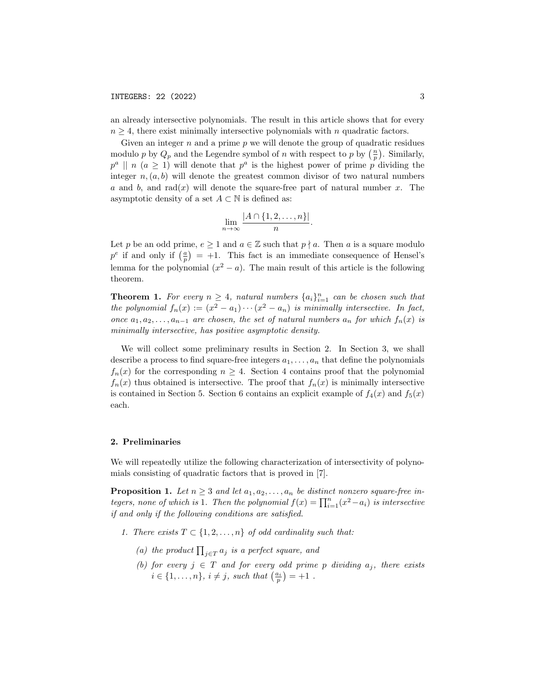an already intersective polynomials. The result in this article shows that for every  $n \geq 4$ , there exist minimally intersective polynomials with n quadratic factors.

Given an integer  $n$  and a prime  $p$  we will denote the group of quadratic residues modulo p by  $Q_p$  and the Legendre symbol of n with respect to p by  $(\frac{n}{p})$ . Similarly,  $p^a \parallel n \ (a \geq 1)$  will denote that  $p^a$  is the highest power of prime  $p$  dividing the integer  $n(a, b)$  will denote the greatest common divisor of two natural numbers a and b, and rad(x) will denote the square-free part of natural number x. The asymptotic density of a set  $A \subset \mathbb{N}$  is defined as:

$$
\lim_{n\to\infty}\frac{|A\cap\{1,2,\ldots,n\}|}{n}.
$$

Let p be an odd prime,  $e \geq 1$  and  $a \in \mathbb{Z}$  such that  $p \nmid a$ . Then a is a square modulo  $p^e$  if and only if  $\left(\frac{a}{p}\right) = +1$ . This fact is an immediate consequence of Hensel's lemma for the polynomial  $(x^2 - a)$ . The main result of this article is the following theorem.

**Theorem 1.** For every  $n \geq 4$ , natural numbers  $\{a_i\}_{i=1}^n$  can be chosen such that the polynomial  $f_n(x) := (x^2 - a_1) \cdots (x^2 - a_n)$  is minimally intersective. In fact, once  $a_1, a_2, \ldots, a_{n-1}$  are chosen, the set of natural numbers  $a_n$  for which  $f_n(x)$  is minimally intersective, has positive asymptotic density.

We will collect some preliminary results in Section 2. In Section 3, we shall describe a process to find square-free integers  $a_1, \ldots, a_n$  that define the polynomials  $f_n(x)$  for the corresponding  $n \geq 4$ . Section 4 contains proof that the polynomial  $f_n(x)$  thus obtained is intersective. The proof that  $f_n(x)$  is minimally intersective is contained in Section 5. Section 6 contains an explicit example of  $f_4(x)$  and  $f_5(x)$ each.

# 2. Preliminaries

We will repeatedly utilize the following characterization of intersectivity of polynomials consisting of quadratic factors that is proved in [7].

**Proposition 1.** Let  $n \geq 3$  and let  $a_1, a_2, \ldots, a_n$  be distinct nonzero square-free integers, none of which is 1. Then the polynomial  $f(x) = \prod_{i=1}^{n} (x^2 - a_i)$  is intersective if and only if the following conditions are satisfied.

- 1. There exists  $T \subset \{1, 2, \ldots, n\}$  of odd cardinality such that:
	- (a) the product  $\prod_{j\in T} a_j$  is a perfect square, and
	- (b) for every  $j \in T$  and for every odd prime p dividing  $a_j$ , there exists  $i \in \{1, \ldots, n\}, i \neq j$ , such that  $\left(\frac{a_i}{p}\right) = +1$ .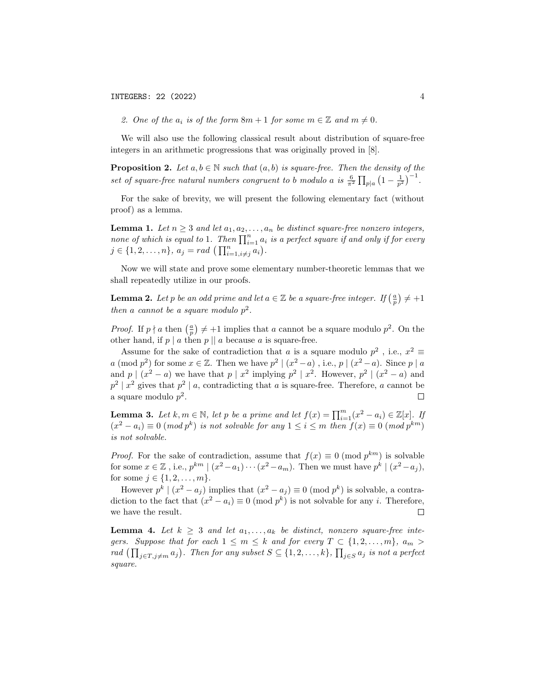2. One of the  $a_i$  is of the form  $8m + 1$  for some  $m \in \mathbb{Z}$  and  $m \neq 0$ .

We will also use the following classical result about distribution of square-free integers in an arithmetic progressions that was originally proved in [8].

**Proposition 2.** Let  $a, b \in \mathbb{N}$  such that  $(a, b)$  is square-free. Then the density of the set of square-free natural numbers congruent to b modulo a is  $\frac{6}{\pi^2} \prod_{p|a} \left(1 - \frac{1}{p^2}\right)^{-1}$ .

For the sake of brevity, we will present the following elementary fact (without proof) as a lemma.

**Lemma 1.** Let  $n \geq 3$  and let  $a_1, a_2, \ldots, a_n$  be distinct square-free nonzero integers, none of which is equal to 1. Then  $\prod_{i=1}^n a_i$  is a perfect square if and only if for every  $j \in \{1, 2, \ldots, n\}, \ a_j = rad \ \left(\prod_{i=1, i \neq j}^{n} a_i\right).$ 

Now we will state and prove some elementary number-theoretic lemmas that we shall repeatedly utilize in our proofs.

**Lemma 2.** Let p be an odd prime and let  $a \in \mathbb{Z}$  be a square-free integer. If  $\left(\frac{a}{p}\right) \neq +1$ then a cannot be a square modulo  $p^2$ .

*Proof.* If  $p \nmid a$  then  $\left(\frac{a}{p}\right) \neq +1$  implies that a cannot be a square modulo  $p^2$ . On the other hand, if  $p \mid a$  then  $p \mid a$  because a is square-free.

Assume for the sake of contradiction that a is a square modulo  $p^2$ , i.e.,  $x^2 \equiv$ a (mod  $p^2$ ) for some  $x \in \mathbb{Z}$ . Then we have  $p^2 \mid (x^2 - a)$ , i.e.,  $p \mid (x^2 - a)$ . Since  $p \mid a$ and  $p \mid (x^2 - a)$  we have that  $p \mid x^2$  implying  $p^2 \mid x^2$ . However,  $p^2 \mid (x^2 - a)$  and  $p^2 | x^2$  gives that  $p^2 | a$ , contradicting that a is square-free. Therefore, a cannot be a square modulo  $p^2$ .  $\Box$ 

**Lemma 3.** Let  $k, m \in \mathbb{N}$ , let p be a prime and let  $f(x) = \prod_{i=1}^{m} (x^2 - a_i) \in \mathbb{Z}[x]$ . If  $(x^2 - a_i) \equiv 0 \pmod{p^k}$  is not solvable for any  $1 \leq i \leq m$  then  $f(x) \equiv 0 \pmod{p^{km}}$ is not solvable.

*Proof.* For the sake of contradiction, assume that  $f(x) \equiv 0 \pmod{p^{km}}$  is solvable for some  $x \in \mathbb{Z}$ , i.e.,  $p^{km} \mid (x^2 - a_1) \cdots (x^2 - a_m)$ . Then we must have  $p^k \mid (x^2 - a_j)$ , for some  $j \in \{1, 2, ..., m\}$ .

However  $p^k \mid (x^2 - a_j)$  implies that  $(x^2 - a_j) \equiv 0 \pmod{p^k}$  is solvable, a contradiction to the fact that  $(x^2 - a_i) \equiv 0 \pmod{p^k}$  is not solvable for any *i*. Therefore, we have the result.  $\Box$ 

**Lemma 4.** Let  $k \geq 3$  and let  $a_1, \ldots, a_k$  be distinct, nonzero square-free integers. Suppose that for each  $1 \leq m \leq k$  and for every  $T \subset \{1, 2, ..., m\}$ ,  $a_m >$ rad  $(\prod_{j\in T, j\neq m} a_j)$ . Then for any subset  $S\subseteq \{1, 2, ..., k\}$ ,  $\prod_{j\in S} a_j$  is not a perfect square.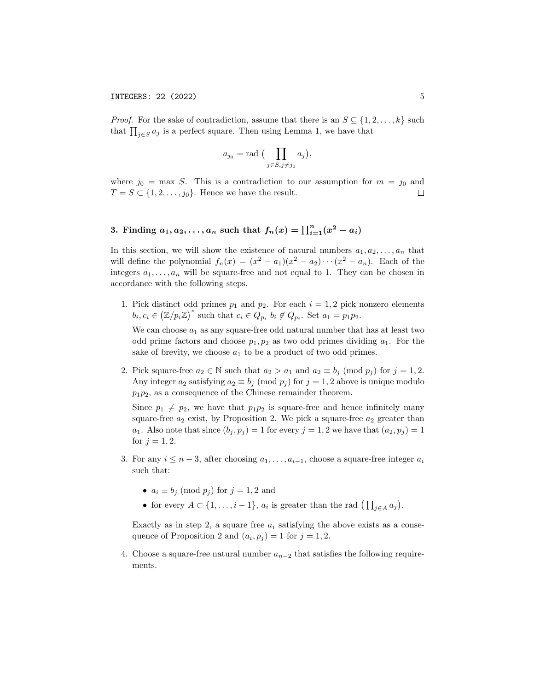*Proof.* For the sake of contradiction, assume that there is an  $S \subseteq \{1, 2, ..., k\}$  such that  $\prod_{j\in S} a_j$  is a perfect square. Then using Lemma 1, we have that

$$
a_{j_0} = \text{rad} \big( \prod_{j \in S, j \neq j_0} a_j \big),
$$

where  $j_0 = \max S$ . This is a contradiction to our assumption for  $m = j_0$  and  $T = S \subset \{1, 2, \ldots, j_0\}$ . Hence we have the result.

# 3. Finding  $a_1, a_2, \ldots, a_n$  such that  $f_n(x) = \prod_{i=1}^n (x^2 - a_i)$

In this section, we will show the existence of natural numbers  $a_1, a_2, \ldots, a_n$  that will define the polynomial  $f_n(x) = (x^2 - a_1)(x^2 - a_2) \cdots (x^2 - a_n)$ . Each of the integers  $a_1, \ldots, a_n$  will be square-free and not equal to 1. They can be chosen in accordance with the following steps.

1. Pick distinct odd primes  $p_1$  and  $p_2$ . For each  $i = 1, 2$  pick nonzero elements  $b_i, c_i \in (\mathbb{Z}/p_i\mathbb{Z})^*$  such that  $c_i \in Q_{p_i}$   $b_i \notin Q_{p_i}$ . Set  $a_1 = p_1p_2$ .

We can choose  $a_1$  as any square-free odd natural number that has at least two odd prime factors and choose  $p_1, p_2$  as two odd primes dividing  $a_1$ . For the sake of brevity, we choose  $a_1$  to be a product of two odd primes.

2. Pick square-free  $a_2 \in \mathbb{N}$  such that  $a_2 > a_1$  and  $a_2 \equiv b_j \pmod{p_j}$  for  $j = 1, 2$ . Any integer  $a_2$  satisfying  $a_2 \equiv b_j \pmod{p_j}$  for  $j = 1, 2$  above is unique modulo  $p_1p_2$ , as a consequence of the Chinese remainder theorem.

Since  $p_1 \neq p_2$ , we have that  $p_1p_2$  is square-free and hence infinitely many square-free  $a_2$  exist, by Proposition 2. We pick a square-free  $a_2$  greater than  $a_1$ . Also note that since  $(b_j, p_j) = 1$  for every  $j = 1, 2$  we have that  $(a_2, p_j) = 1$ for  $j = 1, 2$ .

- 3. For any  $i \leq n-3$ , after choosing  $a_1, \ldots, a_{i-1}$ , choose a square-free integer  $a_i$ such that:
	- $a_i \equiv b_j \pmod{p_j}$  for  $j = 1, 2$  and
	- for every  $A \subset \{1, \ldots, i-1\}$ ,  $a_i$  is greater than the rad  $\left(\prod_{j \in A} a_j\right)$ .

Exactly as in step 2, a square free  $a_i$  satisfying the above exists as a consequence of Proposition 2 and  $(a_i, p_j) = 1$  for  $j = 1, 2$ .

4. Choose a square-free natural number  $a_{n-2}$  that satisfies the following requirements.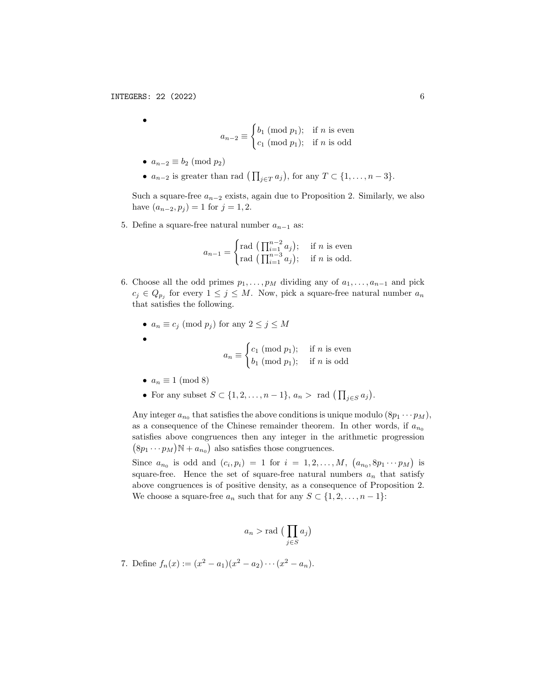•

$$
a_{n-2} \equiv \begin{cases} b_1 \pmod{p_1}; & \text{if } n \text{ is even} \\ c_1 \pmod{p_1}; & \text{if } n \text{ is odd} \end{cases}
$$

- $a_{n-2} \equiv b_2 \pmod{p_2}$
- $a_{n-2}$  is greater than rad  $\left(\prod_{j\in T} a_j\right)$ , for any  $T \subset \{1, \ldots, n-3\}.$

Such a square-free  $a_{n-2}$  exists, again due to Proposition 2. Similarly, we also have  $(a_{n-2}, p_j) = 1$  for  $j = 1, 2$ .

5. Define a square-free natural number  $a_{n-1}$  as:

$$
a_{n-1} = \begin{cases} \text{rad} \left( \prod_{i=1}^{n-2} a_i \right); & \text{if } n \text{ is even} \\ \text{rad} \left( \prod_{i=1}^{n-3} a_i \right); & \text{if } n \text{ is odd.} \end{cases}
$$

- 6. Choose all the odd primes  $p_1, \ldots, p_M$  dividing any of  $a_1, \ldots, a_{n-1}$  and pick  $c_j \in Q_{p_j}$  for every  $1 \leq j \leq M$ . Now, pick a square-free natural number  $a_n$ that satisfies the following.
	- $a_n \equiv c_j \pmod{p_j}$  for any  $2 \le j \le M$

$$
a_n \equiv \begin{cases} c_1 \pmod{p_1}; & \text{if } n \text{ is even} \\ b_1 \pmod{p_1}; & \text{if } n \text{ is odd} \end{cases}
$$

•  $a_n \equiv 1 \pmod{8}$ 

•

• For any subset  $S \subset \{1, 2, \ldots, n-1\}$ ,  $a_n > \text{rad } \left(\prod_{j \in S} a_j\right)$ .

Any integer  $a_{n_0}$  that satisfies the above conditions is unique modulo  $(8p_1 \cdots p_M)$ , as a consequence of the Chinese remainder theorem. In other words, if  $a_{n_0}$ satisfies above congruences then any integer in the arithmetic progression  $(8p_1 \cdots p_M) \mathbb{N} + a_{n_0}$  also satisfies those congruences.

Since  $a_{n_0}$  is odd and  $(c_i, p_i) = 1$  for  $i = 1, 2, \ldots, M$ ,  $(a_{n_0}, 8p_1 \cdots p_M)$  is square-free. Hence the set of square-free natural numbers  $a_n$  that satisfy above congruences is of positive density, as a consequence of Proposition 2. We choose a square-free  $a_n$  such that for any  $S \subset \{1, 2, \ldots, n-1\}$ :

$$
a_n > \text{rad} \left( \prod_{j \in S} a_j \right)
$$

7. Define  $f_n(x) := (x^2 - a_1)(x^2 - a_2) \cdots (x^2 - a_n)$ .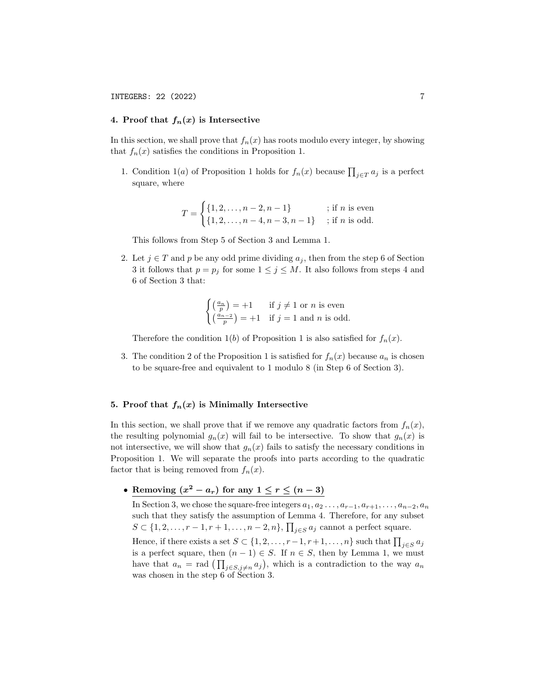# 4. Proof that  $f_n(x)$  is Intersective

In this section, we shall prove that  $f_n(x)$  has roots modulo every integer, by showing that  $f_n(x)$  satisfies the conditions in Proposition 1.

1. Condition 1(*a*) of Proposition 1 holds for  $f_n(x)$  because  $\prod_{j\in T} a_j$  is a perfect square, where

$$
T = \begin{cases} \{1, 2, \dots, n-2, n-1\} & \text{; if } n \text{ is even} \\ \{1, 2, \dots, n-4, n-3, n-1\} & \text{; if } n \text{ is odd.} \end{cases}
$$

This follows from Step 5 of Section 3 and Lemma 1.

2. Let  $j \in T$  and p be any odd prime dividing  $a_j$ , then from the step 6 of Section 3 it follows that  $p = p_j$  for some  $1 \leq j \leq M$ . It also follows from steps 4 and 6 of Section 3 that:

$$
\begin{cases} \left(\frac{a_n}{p}\right) = +1 & \text{if } j \neq 1 \text{ or } n \text{ is even} \\ \left(\frac{a_{n-2}}{p}\right) = +1 & \text{if } j = 1 \text{ and } n \text{ is odd.} \end{cases}
$$

Therefore the condition 1(b) of Proposition 1 is also satisfied for  $f_n(x)$ .

3. The condition 2 of the Proposition 1 is satisfied for  $f_n(x)$  because  $a_n$  is chosen to be square-free and equivalent to 1 modulo 8 (in Step 6 of Section 3).

#### 5. Proof that  $f_n(x)$  is Minimally Intersective

In this section, we shall prove that if we remove any quadratic factors from  $f_n(x)$ , the resulting polynomial  $g_n(x)$  will fail to be intersective. To show that  $g_n(x)$  is not intersective, we will show that  $g_n(x)$  fails to satisfy the necessary conditions in Proposition 1. We will separate the proofs into parts according to the quadratic factor that is being removed from  $f_n(x)$ .

• Removing  $(x^2 - a_r)$  for any  $1 \le r \le (n-3)$ 

In Section 3, we chose the square-free integers  $a_1, a_2 \ldots, a_{r-1}, a_{r+1}, \ldots, a_{n-2}, a_n$ such that they satisfy the assumption of Lemma 4. Therefore, for any subset  $S \subset \{1, 2, \ldots, r-1, r+1, \ldots, n-2, n\}, \prod_{j \in S} a_j$  cannot a perfect square.

Hence, if there exists a set  $S \subset \{1, 2, \ldots, r-1, r+1, \ldots, n\}$  such that  $\prod_{j \in S} a_j$ is a perfect square, then  $(n - 1) \in S$ . If  $n \in S$ , then by Lemma 1, we must have that  $a_n = \text{rad} \left( \prod_{j \in S, j \neq n} a_j \right)$ , which is a contradiction to the way  $a_n$ was chosen in the step 6 of Section 3.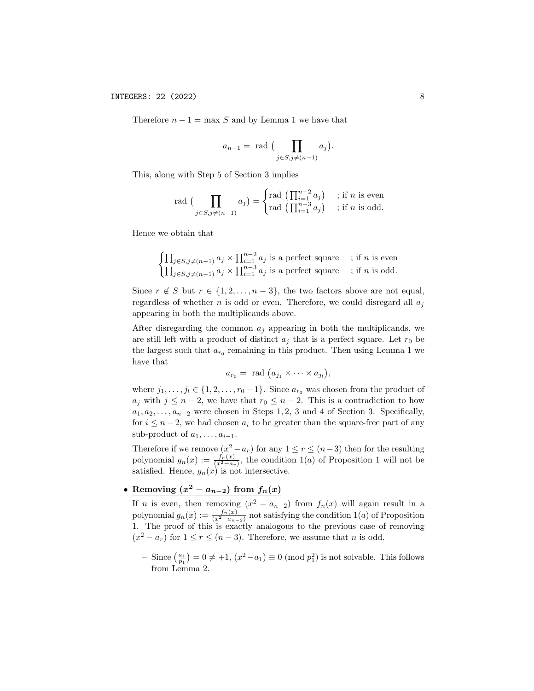Therefore  $n - 1 = \max S$  and by Lemma 1 we have that

$$
a_{n-1} = \text{ rad } \big( \prod_{j \in S, j \neq (n-1)} a_j \big).
$$

This, along with Step 5 of Section 3 implies

$$
\operatorname{rad} \big( \prod_{j \in S, j \neq (n-1)} a_j \big) = \begin{cases} \operatorname{rad} \big( \prod_{i=1}^{n-2} a_j \big) & ; \text{ if } n \text{ is even} \\ \operatorname{rad} \big( \prod_{i=1}^{n-3} a_j \big) & ; \text{ if } n \text{ is odd.} \end{cases}
$$

Hence we obtain that

$$
\begin{cases} \prod_{j \in S, j \neq (n-1)} a_j \times \prod_{i=1}^{n-2} a_j \text{ is a perfect square} & ; \text{ if } n \text{ is even} \\ \prod_{j \in S, j \neq (n-1)} a_j \times \prod_{i=1}^{n-3} a_j \text{ is a perfect square} & ; \text{ if } n \text{ is odd.} \end{cases}
$$

Since  $r \notin S$  but  $r \in \{1, 2, ..., n-3\}$ , the two factors above are not equal, regardless of whether  $n$  is odd or even. Therefore, we could disregard all  $a_i$ appearing in both the multiplicands above.

After disregarding the common  $a_j$  appearing in both the multiplicands, we are still left with a product of distinct  $a_j$  that is a perfect square. Let  $r_0$  be the largest such that  $a_{r_0}$  remaining in this product. Then using Lemma 1 we have that

$$
a_{r_0} = \text{ rad } (a_{j_1} \times \cdots \times a_{j_l}),
$$

where  $j_1, \ldots, j_l \in \{1, 2, \ldots, r_0 - 1\}$ . Since  $a_{r_0}$  was chosen from the product of  $a_j$  with  $j \leq n-2$ , we have that  $r_0 \leq n-2$ . This is a contradiction to how  $a_1, a_2, \ldots, a_{n-2}$  were chosen in Steps 1, 2, 3 and 4 of Section 3. Specifically, for  $i \leq n-2$ , we had chosen  $a_i$  to be greater than the square-free part of any sub-product of  $a_1, \ldots, a_{i-1}$ .

Therefore if we remove  $(x^2 - a_r)$  for any  $1 \le r \le (n-3)$  then for the resulting polynomial  $g_n(x) := \frac{f_n(x)}{(x^2 - a_r)}$ , the condition 1(a) of Proposition 1 will not be satisfied. Hence,  $g_n(x)$  is not intersective.

• Removing  $(x^2 - a_{n-2})$  from  $f_n(x)$ 

If *n* is even, then removing  $(x^2 - a_{n-2})$  from  $f_n(x)$  will again result in a polynomial  $g_n(x) := \frac{f_n(x)}{(x^2 - a_{n-2})}$  not satisfying the condition  $1(a)$  of Proposition 1. The proof of this is exactly analogous to the previous case of removing  $(x^2 - a_r)$  for  $1 \le r \le (n-3)$ . Therefore, we assume that *n* is odd.

- Since  $\left(\frac{a_1}{p_1}\right)$  = 0 ≠ +1,  $(x^2 - a_1) \equiv 0 \pmod{p_1^2}$  is not solvable. This follows from Lemma 2.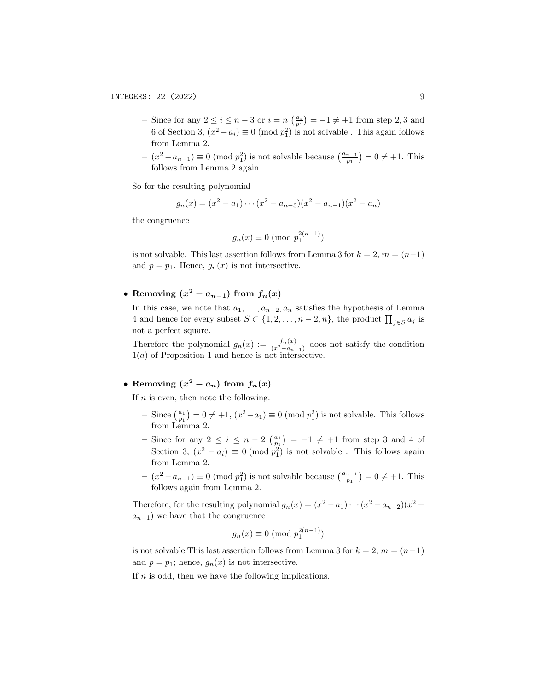- Since for any  $2 \leq i \leq n-3$  or  $i = n \left(\frac{a_i}{p_1}\right) = -1 \neq +1$  from step 2,3 and 6 of Section 3,  $(x^2 - a_i) \equiv 0 \pmod{p_1^2}$  is not solvable. This again follows from Lemma 2.
- $(x^2 a_{n-1}) \equiv 0 \pmod{p_1^2}$  is not solvable because  $\left(\frac{a_{n-1}}{p_1}\right) = 0 \neq +1$ . This follows from Lemma 2 again.

So for the resulting polynomial

$$
g_n(x) = (x^2 - a_1) \cdots (x^2 - a_{n-3})(x^2 - a_{n-1})(x^2 - a_n)
$$

the congruence

$$
g_n(x) \equiv 0 \pmod{p_1^{2(n-1)}}
$$

is not solvable. This last assertion follows from Lemma 3 for  $k = 2, m = (n-1)$ and  $p = p_1$ . Hence,  $g_n(x)$  is not intersective.

• Removing  $(x^2 - a_{n-1})$  from  $f_n(x)$ 

In this case, we note that  $a_1, \ldots, a_{n-2}, a_n$  satisfies the hypothesis of Lemma 4 and hence for every subset  $S \subset \{1, 2, \ldots, n-2, n\}$ , the product  $\prod_{j \in S} a_j$  is not a perfect square.

Therefore the polynomial  $g_n(x) := \frac{f_n(x)}{(x^2 - a_{n-1})}$  does not satisfy the condition  $1(a)$  of Proposition 1 and hence is not intersective.

# • Removing  $(x^2 - a_n)$  from  $f_n(x)$

If  $n$  is even, then note the following.

- Since  $\left(\frac{a_1}{p_1}\right)$  = 0 ≠ +1,  $(x^2 a_1) \equiv 0 \pmod{p_1^2}$  is not solvable. This follows from Lemma 2.
- Since for any  $2 \leq i \leq n-2 \left(\frac{a_1}{p_1}\right) = -1 \neq +1$  from step 3 and 4 of Section 3,  $(x^2 - a_i) \equiv 0 \pmod{p_1^2}$  is not solvable. This follows again from Lemma 2.
- $(x^2 a_{n-1}) \equiv 0 \pmod{p_1^2}$  is not solvable because  $\left(\frac{a_{n-1}}{p_1}\right) = 0 \neq +1$ . This follows again from Lemma 2.

Therefore, for the resulting polynomial  $g_n(x) = (x^2 - a_1) \cdots (x^2 - a_{n-2})(x^2 - a_n)$  $a_{n-1}$ ) we have that the congruence

$$
g_n(x) \equiv 0 \pmod{p_1^{2(n-1)}}
$$

is not solvable This last assertion follows from Lemma 3 for  $k = 2$ ,  $m = (n-1)$ and  $p = p_1$ ; hence,  $g_n(x)$  is not intersective.

If  $n$  is odd, then we have the following implications.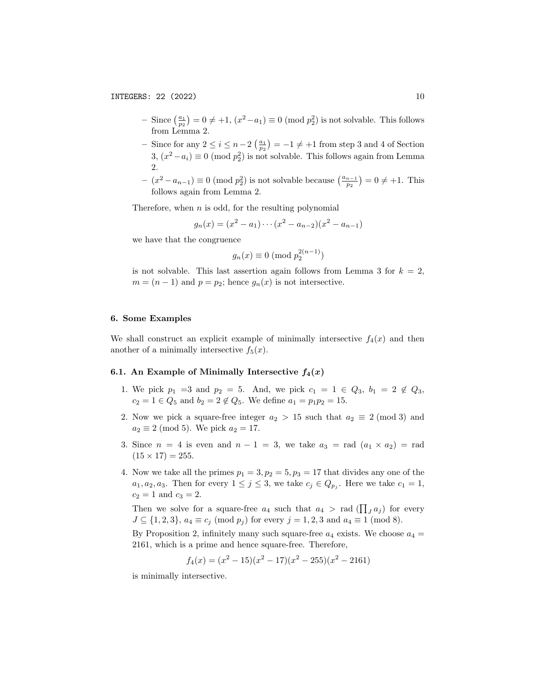- Since  $\left(\frac{a_1}{p_2}\right)$  = 0 ≠ +1,  $(x^2 a_1) \equiv 0 \pmod{p_2^2}$  is not solvable. This follows from Lemma 2.
- Since for any  $2 \le i \le n-2$   $\left(\frac{a_1}{p_2}\right) = -1 \ne +1$  from step 3 and 4 of Section 3,  $(x^2 - a_i) \equiv 0 \pmod{p_2^2}$  is not solvable. This follows again from Lemma  $\mathfrak{D}$
- $(x^2 a_{n-1}) \equiv 0 \pmod{p_2^2}$  is not solvable because  $\left(\frac{a_{n-1}}{p_2}\right) = 0 \neq +1$ . This follows again from Lemma 2.

Therefore, when  $n$  is odd, for the resulting polynomial

$$
g_n(x) = (x^2 - a_1) \cdots (x^2 - a_{n-2})(x^2 - a_{n-1})
$$

we have that the congruence

$$
g_n(x) \equiv 0 \pmod{p_2^{2(n-1)}}
$$

is not solvable. This last assertion again follows from Lemma 3 for  $k = 2$ ,  $m = (n - 1)$  and  $p = p_2$ ; hence  $g_n(x)$  is not intersective.

# 6. Some Examples

We shall construct an explicit example of minimally intersective  $f_4(x)$  and then another of a minimally intersective  $f_5(x)$ .

#### 6.1. An Example of Minimally Intersective  $f_4(x)$

- 1. We pick  $p_1 = 3$  and  $p_2 = 5$ . And, we pick  $c_1 = 1 \in Q_3$ ,  $b_1 = 2 \notin Q_3$ ,  $c_2 = 1 \in Q_5$  and  $b_2 = 2 \notin Q_5$ . We define  $a_1 = p_1 p_2 = 15$ .
- 2. Now we pick a square-free integer  $a_2 > 15$  such that  $a_2 \equiv 2 \pmod{3}$  and  $a_2 \equiv 2 \pmod{5}$ . We pick  $a_2 = 17$ .
- 3. Since  $n = 4$  is even and  $n 1 = 3$ , we take  $a_3 = \text{rad}(a_1 \times a_2) = \text{rad}$  $(15 \times 17) = 255.$
- 4. Now we take all the primes  $p_1 = 3, p_2 = 5, p_3 = 17$  that divides any one of the  $a_1, a_2, a_3$ . Then for every  $1 \leq j \leq 3$ , we take  $c_j \in Q_{p_j}$ . Here we take  $c_1 = 1$ ,  $c_2 = 1$  and  $c_3 = 2$ .

Then we solve for a square-free  $a_4$  such that  $a_4 > \text{rad}(\prod_J a_j)$  for every  $J \subseteq \{1, 2, 3\}, a_4 \equiv c_j \pmod{p_j}$  for every  $j = 1, 2, 3$  and  $a_4 \equiv 1 \pmod{8}$ .

By Proposition 2, infinitely many such square-free  $a_4$  exists. We choose  $a_4$  = 2161, which is a prime and hence square-free. Therefore,

$$
f_4(x) = (x^2 - 15)(x^2 - 17)(x^2 - 255)(x^2 - 2161)
$$

is minimally intersective.